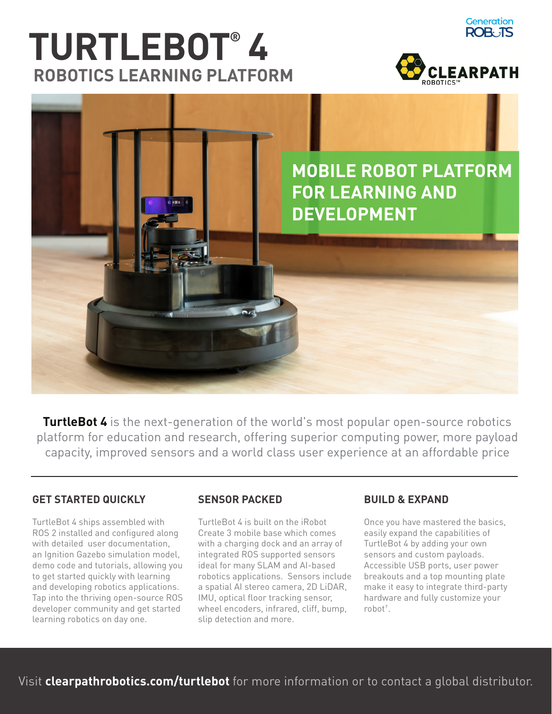# **RTURTLEBOT 4 ROBOTICS LEARNING PLATFORM**



**Generation ROB: IS** 



**TurtleBot 4** is the next-generation of the world's most popular open-source robotics platform for education and research, offering superior computing power, more payload capacity, improved sensors and a world class user experience at an affordable price

#### **GET STARTED QUICKLY**

TurtleBot 4 ships assembled with ROS 2 installed and configured along with detailed user documentation, an Ignition Gazebo simulation model, demo code and tutorials, allowing you to get started guickly with learning and developing robotics applications. Tap into the thriving open-source ROS developer community and get started learning robotics on day one.

#### **SENSOR PACKED**

TurtleBot 4 is built on the iRobot Create 3 mobile base which comes with a charging dock and an array of integrated ROS supported sensors ideal for many SLAM and AI-based robotics applications. Sensors include a spatial AI stereo camera, 2D LiDAR, IMU, optical floor tracking sensor, wheel encoders, infrared, cliff, bump, slip detection and more.

#### **BUILD & EXPAND**

Once you have mastered the basics, easily expand the capabilities of TurtleBot 4 by adding your own sensors and custom payloads. Accessible USB ports, user power breakouts and a top mounting plate make it easy to integrate third-party hardware and fully customize your robot<sup>+</sup>.